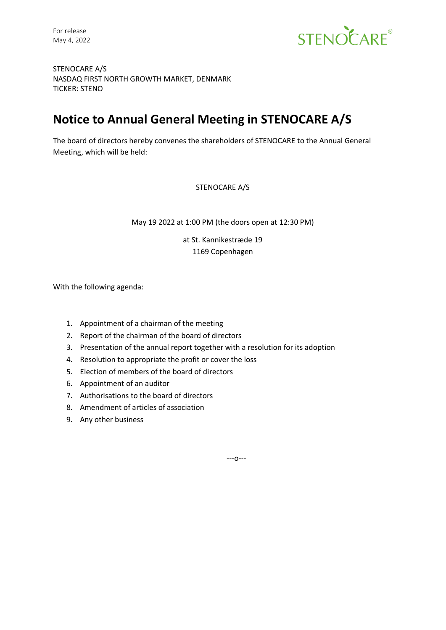

STENOCARE A/S NASDAQ FIRST NORTH GROWTH MARKET, DENMARK TICKER: STENO

# **Notice to Annual General Meeting in STENOCARE A/S**

The board of directors hereby convenes the shareholders of STENOCARE to the Annual General Meeting, which will be held:

STENOCARE A/S

May 19 2022 at 1:00 PM (the doors open at 12:30 PM)

at St. Kannikestræde 19 1169 Copenhagen

With the following agenda:

- 1. Appointment of a chairman of the meeting
- 2. Report of the chairman of the board of directors
- 3. Presentation of the annual report together with a resolution for its adoption
- 4. Resolution to appropriate the profit or cover the loss
- 5. Election of members of the board of directors
- 6. Appointment of an auditor
- 7. Authorisations to the board of directors
- 8. Amendment of articles of association
- 9. Any other business

---o---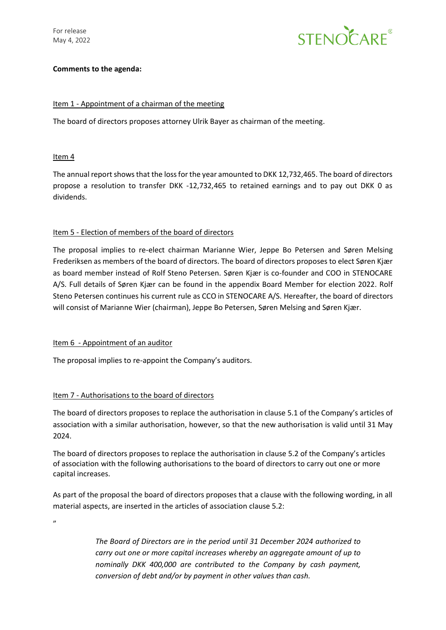For release May 4, 2022



## **Comments to the agenda:**

## Item 1 - Appointment of a chairman of the meeting

The board of directors proposes attorney Ulrik Bayer as chairman of the meeting.

## Item 4

The annual report shows that the loss for the year amounted to DKK 12,732,465. The board of directors propose a resolution to transfer DKK -12,732,465 to retained earnings and to pay out DKK 0 as dividends.

# Item 5 - Election of members of the board of directors

The proposal implies to re-elect chairman Marianne Wier, Jeppe Bo Petersen and Søren Melsing Frederiksen as members of the board of directors. The board of directors proposes to elect Søren Kjær as board member instead of Rolf Steno Petersen. Søren Kjær is co-founder and COO in STENOCARE A/S. Full details of Søren Kjær can be found in the appendix Board Member for election 2022. Rolf Steno Petersen continues his current rule as CCO in STENOCARE A/S. Hereafter, the board of directors will consist of Marianne Wier (chairman), Jeppe Bo Petersen, Søren Melsing and Søren Kjær.

#### Item 6 - Appointment of an auditor

The proposal implies to re-appoint the Company's auditors.

# Item 7 - Authorisations to the board of directors

The board of directors proposes to replace the authorisation in clause 5.1 of the Company's articles of association with a similar authorisation, however, so that the new authorisation is valid until 31 May 2024.

The board of directors proposes to replace the authorisation in clause 5.2 of the Company's articles of association with the following authorisations to the board of directors to carry out one or more capital increases.

As part of the proposal the board of directors proposes that a clause with the following wording, in all material aspects, are inserted in the articles of association clause 5.2:

,,

*The Board of Directors are in the period until 31 December 2024 authorized to carry out one or more capital increases whereby an aggregate amount of up to nominally DKK 400,000 are contributed to the Company by cash payment, conversion of debt and/or by payment in other values than cash.*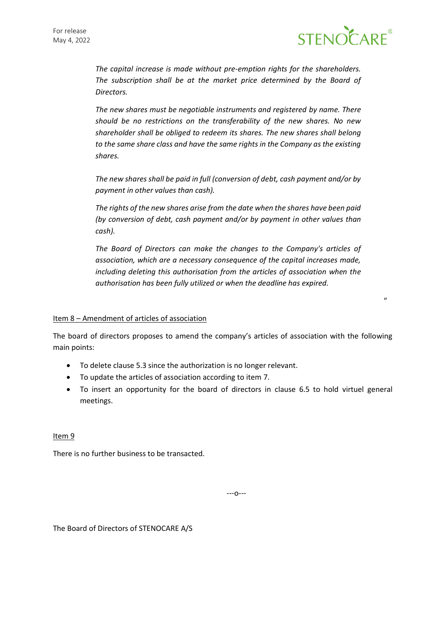

"

*The capital increase is made without pre-emption rights for the shareholders. The subscription shall be at the market price determined by the Board of Directors.*

*The new shares must be negotiable instruments and registered by name. There should be no restrictions on the transferability of the new shares. No new shareholder shall be obliged to redeem its shares. The new shares shall belong to the same share class and have the same rights in the Company as the existing shares.*

*The new shares shall be paid in full (conversion of debt, cash payment and/or by payment in other values than cash).*

*The rights of the new shares arise from the date when the shares have been paid (by conversion of debt, cash payment and/or by payment in other values than cash).*

*The Board of Directors can make the changes to the Company's articles of association, which are a necessary consequence of the capital increases made, including deleting this authorisation from the articles of association when the authorisation has been fully utilized or when the deadline has expired.*

## Item 8 – Amendment of articles of association

The board of directors proposes to amend the company's articles of association with the following main points:

- To delete clause 5.3 since the authorization is no longer relevant.
- To update the articles of association according to item 7.
- To insert an opportunity for the board of directors in clause 6.5 to hold virtuel general meetings.

Item<sub>9</sub>

There is no further business to be transacted.

---o---

The Board of Directors of STENOCARE A/S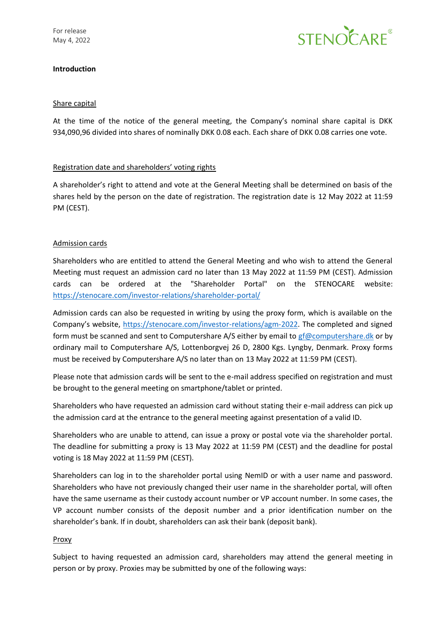

# **Introduction**

## Share capital

At the time of the notice of the general meeting, the Company's nominal share capital is DKK 934,090,96 divided into shares of nominally DKK 0.08 each. Each share of DKK 0.08 carries one vote.

# Registration date and shareholders' voting rights

A shareholder's right to attend and vote at the General Meeting shall be determined on basis of the shares held by the person on the date of registration. The registration date is 12 May 2022 at 11:59 PM (CEST).

# Admission cards

Shareholders who are entitled to attend the General Meeting and who wish to attend the General Meeting must request an admission card no later than 13 May 2022 at 11:59 PM (CEST). Admission cards can be ordered at the "Shareholder Portal" on the STENOCARE website: <https://stenocare.com/investor-relations/shareholder-portal/>

Admission cards can also be requested in writing by using the proxy form, which is available on the Company's website, [https://stenocare.com/investor-relations/agm-2022.](https://stenocare.com/investor-relations/agm-2022) The completed and signed form must be scanned and sent to Computershare A/S either by email to [gf@computershare.dk](mailto:gf@computershare.dk) or by ordinary mail to Computershare A/S, Lottenborgvej 26 D, 2800 Kgs. Lyngby, Denmark. Proxy forms must be received by Computershare A/S no later than on 13 May 2022 at 11:59 PM (CEST).

Please note that admission cards will be sent to the e-mail address specified on registration and must be brought to the general meeting on smartphone/tablet or printed.

Shareholders who have requested an admission card without stating their e-mail address can pick up the admission card at the entrance to the general meeting against presentation of a valid ID.

Shareholders who are unable to attend, can issue a proxy or postal vote via the shareholder portal. The deadline for submitting a proxy is 13 May 2022 at 11:59 PM (CEST) and the deadline for postal voting is 18 May 2022 at 11:59 PM (CEST).

Shareholders can log in to the shareholder portal using NemID or with a user name and password. Shareholders who have not previously changed their user name in the shareholder portal, will often have the same username as their custody account number or VP account number. In some cases, the VP account number consists of the deposit number and a prior identification number on the shareholder's bank. If in doubt, shareholders can ask their bank (deposit bank).

#### Proxy

Subject to having requested an admission card, shareholders may attend the general meeting in person or by proxy. Proxies may be submitted by one of the following ways: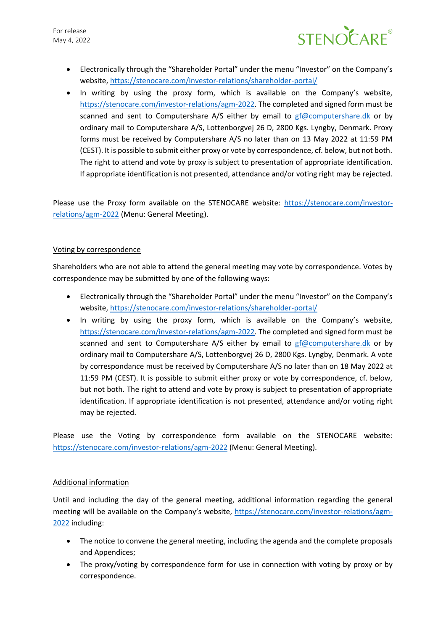

- Electronically through the "Shareholder Portal" under the menu "Investor" on the Company's website,<https://stenocare.com/investor-relations/shareholder-portal/>
- In writing by using the proxy form, which is available on the Company's website, [https://stenocare.com/investor-relations/agm-2022.](https://stenocare.com/investor-relations/agm-2022) The completed and signed form must be scanned and sent to Computershare A/S either by email to [gf@computershare.dk](mailto:gf@computershare.dk) or by ordinary mail to Computershare A/S, Lottenborgvej 26 D, 2800 Kgs. Lyngby, Denmark. Proxy forms must be received by Computershare A/S no later than on 13 May 2022 at 11:59 PM (CEST). It is possible to submit either proxy or vote by correspondence, cf. below, but not both. The right to attend and vote by proxy is subject to presentation of appropriate identification. If appropriate identification is not presented, attendance and/or voting right may be rejected.

Please use the Proxy form available on the STENOCARE website: [https://stenocare.com/investor](https://stenocare.com/investor-relations/agm-2022)[relations/agm-2022](https://stenocare.com/investor-relations/agm-2022) (Menu: General Meeting).

# Voting by correspondence

Shareholders who are not able to attend the general meeting may vote by correspondence. Votes by correspondence may be submitted by one of the following ways:

- Electronically through the "Shareholder Portal" under the menu "Investor" on the Company's website,<https://stenocare.com/investor-relations/shareholder-portal/>
- In writing by using the proxy form, which is available on the Company's website, [https://stenocare.com/investor-relations/agm-2022.](https://stenocare.com/investor-relations/agm-2022) The completed and signed form must be scanned and sent to Computershare A/S either by email to  $gf@computershare.dk$  or by ordinary mail to Computershare A/S, Lottenborgvej 26 D, 2800 Kgs. Lyngby, Denmark. A vote by correspondance must be received by Computershare A/S no later than on 18 May 2022 at 11:59 PM (CEST). It is possible to submit either proxy or vote by correspondence, cf. below, but not both. The right to attend and vote by proxy is subject to presentation of appropriate identification. If appropriate identification is not presented, attendance and/or voting right may be rejected.

Please use the Voting by correspondence form available on the STENOCARE website: <https://stenocare.com/investor-relations/agm-2022> (Menu: General Meeting).

#### Additional information

Until and including the day of the general meeting, additional information regarding the general meeting will be available on the Company's website, [https://stenocare.com/investor-relations/agm-](https://stenocare.com/investor-relations/agm-2022)[2022](https://stenocare.com/investor-relations/agm-2022) including:

- The notice to convene the general meeting, including the agenda and the complete proposals and Appendices;
- The proxy/voting by correspondence form for use in connection with voting by proxy or by correspondence.